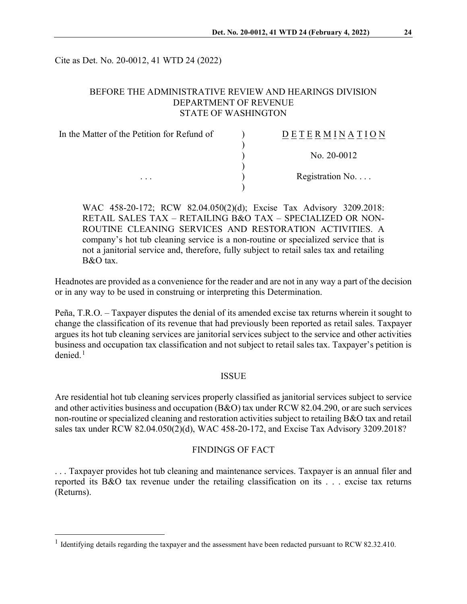Cite as Det. No. 20-0012, 41 WTD 24 (2022)

## BEFORE THE ADMINISTRATIVE REVIEW AND HEARINGS DIVISION DEPARTMENT OF REVENUE STATE OF WASHINGTON

| In the Matter of the Petition for Refund of | DETERMINATION            |
|---------------------------------------------|--------------------------|
|                                             |                          |
|                                             | No. $20-0012$            |
|                                             |                          |
| $\cdots$                                    | Registration No. $\dots$ |
|                                             |                          |

WAC 458-20-172; RCW 82.04.050(2)(d); Excise Tax Advisory 3209.2018: RETAIL SALES TAX – RETAILING B&O TAX – SPECIALIZED OR NON-ROUTINE CLEANING SERVICES AND RESTORATION ACTIVITIES. A company's hot tub cleaning service is a non-routine or specialized service that is not a janitorial service and, therefore, fully subject to retail sales tax and retailing B&O tax.

Headnotes are provided as a convenience for the reader and are not in any way a part of the decision or in any way to be used in construing or interpreting this Determination.

Peña, T.R.O. – Taxpayer disputes the denial of its amended excise tax returns wherein it sought to change the classification of its revenue that had previously been reported as retail sales. Taxpayer argues its hot tub cleaning services are janitorial services subject to the service and other activities business and occupation tax classification and not subject to retail sales tax. Taxpayer's petition is  $denied$ <sup>[1](#page-0-0)</sup>

#### ISSUE

Are residential hot tub cleaning services properly classified as janitorial services subject to service and other activities business and occupation (B&O) tax under RCW 82.04.290, or are such services non-routine or specialized cleaning and restoration activities subject to retailing B&O tax and retail sales tax under RCW 82.04.050(2)(d), WAC 458-20-172, and Excise Tax Advisory 3209.2018?

### FINDINGS OF FACT

. . . Taxpayer provides hot tub cleaning and maintenance services. Taxpayer is an annual filer and reported its B&O tax revenue under the retailing classification on its . . . excise tax returns (Returns).

<span id="page-0-0"></span><sup>&</sup>lt;sup>1</sup> Identifying details regarding the taxpayer and the assessment have been redacted pursuant to RCW 82.32.410.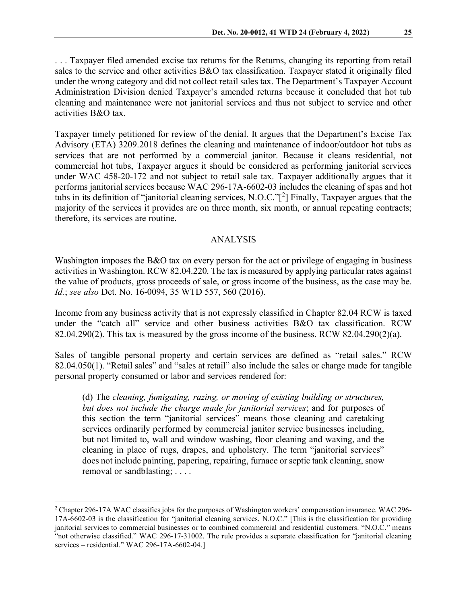. . . Taxpayer filed amended excise tax returns for the Returns, changing its reporting from retail sales to the service and other activities B&O tax classification. Taxpayer stated it originally filed under the wrong category and did not collect retail sales tax. The Department's Taxpayer Account Administration Division denied Taxpayer's amended returns because it concluded that hot tub cleaning and maintenance were not janitorial services and thus not subject to service and other activities B&O tax.

Taxpayer timely petitioned for review of the denial. It argues that the Department's Excise Tax Advisory (ETA) 3209.2018 defines the cleaning and maintenance of indoor/outdoor hot tubs as services that are not performed by a commercial janitor. Because it cleans residential, not commercial hot tubs, Taxpayer argues it should be considered as performing janitorial services under WAC 458-20-172 and not subject to retail sale tax. Taxpayer additionally argues that it performs janitorial services because WAC 296-17A-6602-03 includes the cleaning of spas and hot tubs in its definition of "janitorial cleaning services, N.O.C."[ [2](#page-1-0) ] Finally, Taxpayer argues that the majority of the services it provides are on three month, six month, or annual repeating contracts; therefore, its services are routine.

### ANALYSIS

Washington imposes the B&O tax on every person for the act or privilege of engaging in business activities in Washington. RCW 82.04.220. The tax is measured by applying particular rates against the value of products, gross proceeds of sale, or gross income of the business, as the case may be. *Id.*; *see also* Det. No. 16-0094, 35 WTD 557, 560 (2016).

Income from any business activity that is not expressly classified in Chapter 82.04 RCW is taxed under the "catch all" service and other business activities B&O tax classification. RCW 82.04.290(2). This tax is measured by the gross income of the business. RCW 82.04.290(2)(a).

Sales of tangible personal property and certain services are defined as "retail sales." RCW 82.04.050(1). "Retail sales" and "sales at retail" also include the sales or charge made for tangible personal property consumed or labor and services rendered for:

(d) The *cleaning, fumigating, razing, or moving of existing building or structures, but does not include the charge made for janitorial services*; and for purposes of this section the term "janitorial services" means those cleaning and caretaking services ordinarily performed by commercial janitor service businesses including, but not limited to, wall and window washing, floor cleaning and waxing, and the cleaning in place of rugs, drapes, and upholstery. The term "janitorial services" does not include painting, papering, repairing, furnace or septic tank cleaning, snow removal or sandblasting; . . . .

<span id="page-1-0"></span><sup>2</sup> Chapter 296-17A WAC classifies jobs for the purposes of Washington workers' compensation insurance. WAC 296- 17A-6602-03 is the classification for "janitorial cleaning services, N.O.C." [This is the classification for providing janitorial services to commercial businesses or to combined commercial and residential customers. "N.O.C." means "not otherwise classified." WAC 296-17-31002. The rule provides a separate classification for "janitorial cleaning services – residential." WAC 296-17A-6602-04.]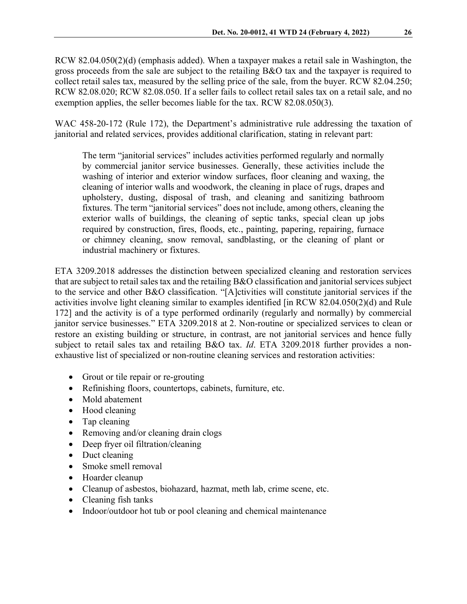RCW 82.04.050(2)(d) (emphasis added). When a taxpayer makes a retail sale in Washington, the gross proceeds from the sale are subject to the retailing B&O tax and the taxpayer is required to collect retail sales tax, measured by the selling price of the sale, from the buyer. RCW 82.04.250; RCW 82.08.020; RCW 82.08.050. If a seller fails to collect retail sales tax on a retail sale, and no exemption applies, the seller becomes liable for the tax. RCW 82.08.050(3).

WAC 458-20-172 (Rule 172), the Department's administrative rule addressing the taxation of janitorial and related services, provides additional clarification, stating in relevant part:

The term "janitorial services" includes activities performed regularly and normally by commercial janitor service businesses. Generally, these activities include the washing of interior and exterior window surfaces, floor cleaning and waxing, the cleaning of interior walls and woodwork, the cleaning in place of rugs, drapes and upholstery, dusting, disposal of trash, and cleaning and sanitizing bathroom fixtures. The term "janitorial services" does not include, among others, cleaning the exterior walls of buildings, the cleaning of septic tanks, special clean up jobs required by construction, fires, floods, etc., painting, papering, repairing, furnace or chimney cleaning, snow removal, sandblasting, or the cleaning of plant or industrial machinery or fixtures.

ETA 3209.2018 addresses the distinction between specialized cleaning and restoration services that are subject to retail sales tax and the retailing B&O classification and janitorial services subject to the service and other B&O classification. "[A]ctivities will constitute janitorial services if the activities involve light cleaning similar to examples identified [in RCW 82.04.050(2)(d) and Rule 172] and the activity is of a type performed ordinarily (regularly and normally) by commercial janitor service businesses." ETA 3209.2018 at 2. Non-routine or specialized services to clean or restore an existing building or structure, in contrast, are not janitorial services and hence fully subject to retail sales tax and retailing B&O tax. *Id*. ETA 3209.2018 further provides a nonexhaustive list of specialized or non-routine cleaning services and restoration activities:

- Grout or tile repair or re-grouting
- Refinishing floors, countertops, cabinets, furniture, etc.
- Mold abatement
- Hood cleaning
- Tap cleaning
- Removing and/or cleaning drain clogs
- Deep fryer oil filtration/cleaning
- Duct cleaning
- Smoke smell removal
- Hoarder cleanup
- Cleanup of asbestos, biohazard, hazmat, meth lab, crime scene, etc.
- Cleaning fish tanks
- Indoor/outdoor hot tub or pool cleaning and chemical maintenance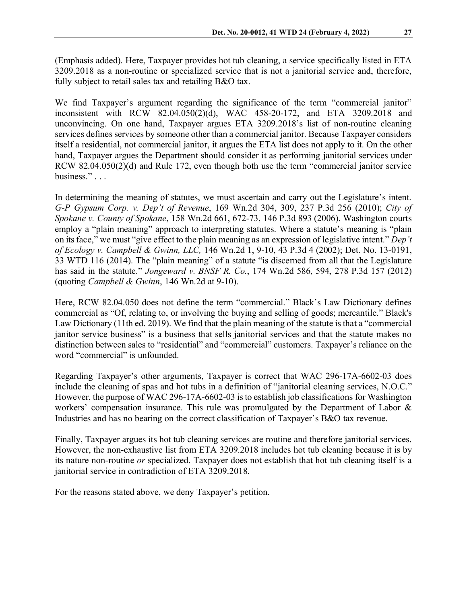(Emphasis added). Here, Taxpayer provides hot tub cleaning, a service specifically listed in ETA 3209.2018 as a non-routine or specialized service that is not a janitorial service and, therefore, fully subject to retail sales tax and retailing B&O tax.

We find Taxpayer's argument regarding the significance of the term "commercial janitor" inconsistent with RCW 82.04.050(2)(d), WAC 458-20-172, and ETA 3209.2018 and unconvincing. On one hand, Taxpayer argues ETA 3209.2018's list of non-routine cleaning services defines services by someone other than a commercial janitor. Because Taxpayer considers itself a residential, not commercial janitor, it argues the ETA list does not apply to it. On the other hand, Taxpayer argues the Department should consider it as performing janitorial services under RCW 82.04.050(2)(d) and Rule 172, even though both use the term "commercial janitor service business." . . .

In determining the meaning of statutes, we must ascertain and carry out the Legislature's intent. *G-P Gypsum Corp. v. Dep't of Revenue*, 169 Wn.2d 304, 309, 237 P.3d 256 (2010); *City of Spokane v. County of Spokane*, 158 Wn.2d 661, 672-73, 146 P.3d 893 (2006). Washington courts employ a "plain meaning" approach to interpreting statutes. Where a statute's meaning is "plain on its face," we must "give effect to the plain meaning as an expression of legislative intent." *Dep't of Ecology v. Campbell & Gwinn, LLC,* 146 Wn.2d 1, 9-10, 43 P.3d 4 (2002); Det. No. 13-0191, 33 WTD 116 (2014). The "plain meaning" of a statute "is discerned from all that the Legislature has said in the statute." *Jongeward v. BNSF R. Co.*, 174 Wn.2d 586, 594, 278 P.3d 157 (2012) (quoting *Campbell & Gwinn*, 146 Wn.2d at 9-10).

Here, RCW 82.04.050 does not define the term "commercial." Black's Law Dictionary defines commercial as "Of, relating to, or involving the buying and selling of goods; mercantile." Black's Law Dictionary (11th ed. 2019). We find that the plain meaning of the statute is that a "commercial janitor service business" is a business that sells janitorial services and that the statute makes no distinction between sales to "residential" and "commercial" customers. Taxpayer's reliance on the word "commercial" is unfounded.

Regarding Taxpayer's other arguments, Taxpayer is correct that WAC 296-17A-6602-03 does include the cleaning of spas and hot tubs in a definition of "janitorial cleaning services, N.O.C." However, the purpose of WAC 296-17A-6602-03 is to establish job classifications for Washington workers' compensation insurance. This rule was promulgated by the Department of Labor & Industries and has no bearing on the correct classification of Taxpayer's B&O tax revenue.

Finally, Taxpayer argues its hot tub cleaning services are routine and therefore janitorial services. However, the non-exhaustive list from ETA 3209.2018 includes hot tub cleaning because it is by its nature non-routine *or* specialized. Taxpayer does not establish that hot tub cleaning itself is a janitorial service in contradiction of ETA 3209.2018.

For the reasons stated above, we deny Taxpayer's petition.